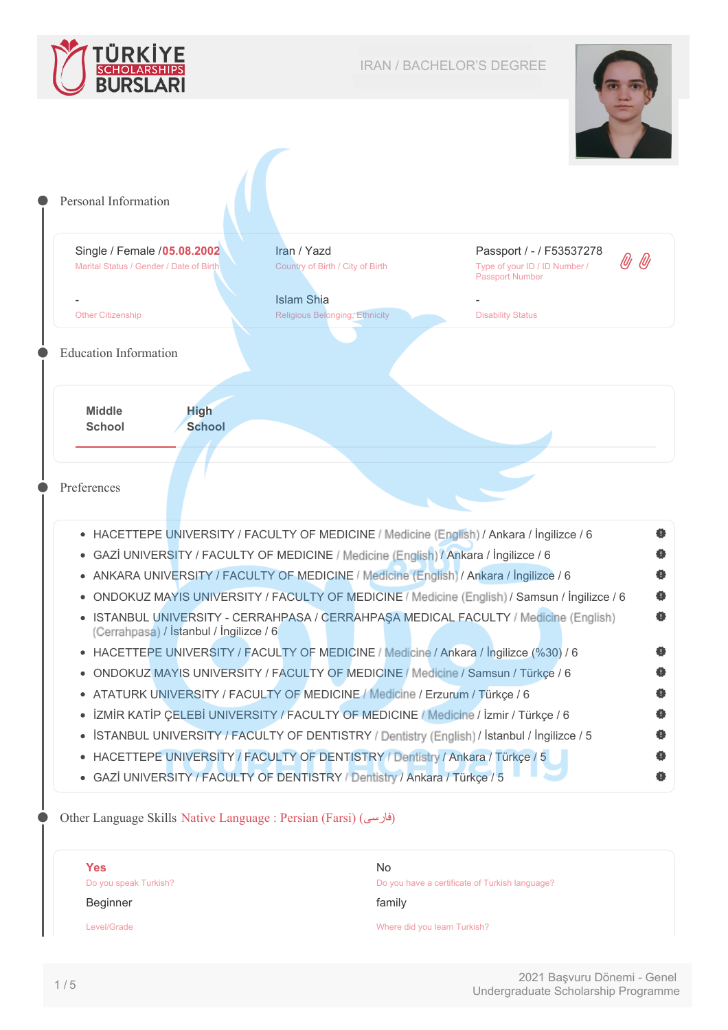



<span id="page-0-0"></span>

| Single / Female /05.08.2002<br>Marital Status / Gender / Date of Birth |                                         | Iran / Yazd<br>Country of Birth / City of Birth<br>Type of your ID / ID Number /                                                                                                    | Passport / - / F53537278<br>lUj lUj |  |  |
|------------------------------------------------------------------------|-----------------------------------------|-------------------------------------------------------------------------------------------------------------------------------------------------------------------------------------|-------------------------------------|--|--|
|                                                                        |                                         | <b>Passport Number</b>                                                                                                                                                              |                                     |  |  |
| <b>Other Citizenship</b>                                               |                                         | <b>Islam Shia</b><br>Religious Belonging, Ethnicity<br><b>Disability Status</b>                                                                                                     |                                     |  |  |
| <b>Education Information</b>                                           |                                         |                                                                                                                                                                                     |                                     |  |  |
| <b>Middle</b>                                                          | <b>High</b>                             |                                                                                                                                                                                     |                                     |  |  |
| <b>School</b>                                                          | <b>School</b>                           |                                                                                                                                                                                     |                                     |  |  |
|                                                                        |                                         |                                                                                                                                                                                     |                                     |  |  |
|                                                                        |                                         |                                                                                                                                                                                     |                                     |  |  |
| Preferences                                                            |                                         |                                                                                                                                                                                     |                                     |  |  |
|                                                                        |                                         |                                                                                                                                                                                     |                                     |  |  |
|                                                                        |                                         | • HACETTEPE UNIVERSITY / FACULTY OF MEDICINE / Medicine (English) / Ankara / İngilizce / 6<br>• GAZİ UNIVERSITY / FACULTY OF MEDICINE / Medicine (English) / Ankara / İngilizce / 6 |                                     |  |  |
|                                                                        |                                         |                                                                                                                                                                                     |                                     |  |  |
|                                                                        |                                         |                                                                                                                                                                                     |                                     |  |  |
|                                                                        |                                         | • ANKARA UNIVERSITY / FACULTY OF MEDICINE / Medicine (English) / Ankara / İngilizce / 6                                                                                             |                                     |  |  |
|                                                                        |                                         | ONDOKUZ MAYIS UNIVERSITY / FACULTY OF MEDICINE / Medicine (English) / Samsun / İngilizce / 6                                                                                        |                                     |  |  |
|                                                                        | (Cerrahpasa) / İstanbul / İngilizce / 6 | • ISTANBUL UNIVERSITY - CERRAHPASA / CERRAHPAŞA MEDICAL FACULTY / Medicine (English)                                                                                                |                                     |  |  |
|                                                                        |                                         | • HACETTEPE UNIVERSITY / FACULTY OF MEDICINE / Medicine / Ankara / İngilizce (%30) / 6                                                                                              |                                     |  |  |
|                                                                        |                                         | ONDOKUZ MAYIS UNIVERSITY / FACULTY OF MEDICINE / Medicine / Samsun / Türkçe / 6                                                                                                     |                                     |  |  |
|                                                                        |                                         | ATATURK UNIVERSITY / FACULTY OF MEDICINE / Medicine / Erzurum / Türkçe / 6                                                                                                          |                                     |  |  |
|                                                                        |                                         | · İZMİR KATİP ÇELEBİ UNIVERSITY / FACULTY OF MEDICINE / Medicine / İzmir / Türkçe / 6                                                                                               |                                     |  |  |
|                                                                        |                                         | • İSTANBUL UNIVERSITY / FACULTY OF DENTISTRY / Dentistry (English) / İstanbul / İngilizce / 5                                                                                       |                                     |  |  |
|                                                                        |                                         | · HACETTEPE UNIVERSITY / FACULTY OF DENTISTRY / Dentistry / Ankara / Türkçe / 5                                                                                                     |                                     |  |  |

Beginner

Level/Grade

# Where did you learn Turkish?

family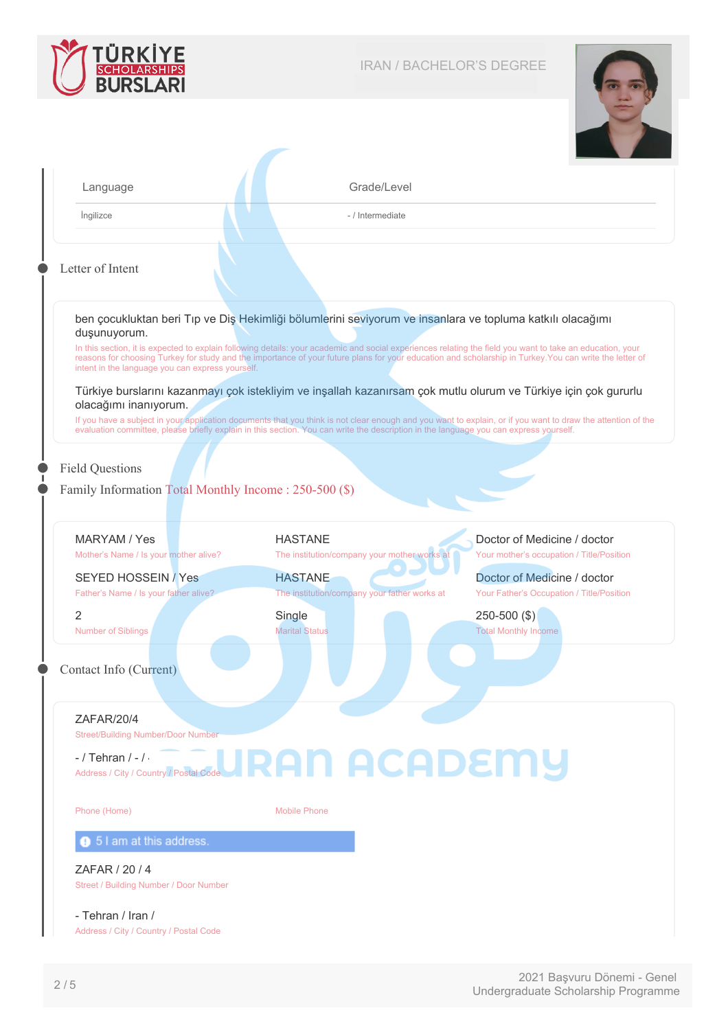



| Language                                                                                  | Grade/Level                                                                                                                                                                                                                                                                                                          |                                                                          |
|-------------------------------------------------------------------------------------------|----------------------------------------------------------------------------------------------------------------------------------------------------------------------------------------------------------------------------------------------------------------------------------------------------------------------|--------------------------------------------------------------------------|
| <i>ingilizce</i>                                                                          | - / Intermediate                                                                                                                                                                                                                                                                                                     |                                                                          |
| Letter of Intent                                                                          |                                                                                                                                                                                                                                                                                                                      |                                                                          |
| duşunuyorum.                                                                              | ben çocukluktan beri Tıp ve Diş Hekimliği bölumlerini seviyorum ve insanlara ve topluma katkılı olacağımı                                                                                                                                                                                                            |                                                                          |
| intent in the language you can express yourself.                                          | In this section, it is expected to explain following details: your academic and social experiences relating the field you want to take an education, your<br>reasons for choosing Turkey for study and the importance of your future plans for your education and scholarship in Turkey. You can write the letter of |                                                                          |
| olacağımı inanıyorum.                                                                     | Türkiye burslarını kazanmayı çok istekliyim ve inşallah kazanırsam çok mutlu olurum ve Türkiye için çok gururlu                                                                                                                                                                                                      |                                                                          |
|                                                                                           | If you have a subject in your application documents that you think is not clear enough and you want to explain, or if you want to draw the attention of the<br>evaluation committee, please briefly explain in this section. You can write the description in the language you can express yourself.                 |                                                                          |
| <b>Field Questions</b>                                                                    |                                                                                                                                                                                                                                                                                                                      |                                                                          |
| Family Information Total Monthly Income : 250-500 (\$)                                    |                                                                                                                                                                                                                                                                                                                      |                                                                          |
| MARYAM / Yes<br>Mother's Name / Is your mother alive?                                     | <b>HASTANE</b><br>The institution/company your mother works at                                                                                                                                                                                                                                                       | Doctor of Medicine / doctor<br>Your mother's occupation / Title/Position |
| <b>SEYED HOSSEIN / Yes</b>                                                                | <b>HASTANE</b>                                                                                                                                                                                                                                                                                                       | Doctor of Medicine / doctor                                              |
| Father's Name / Is your father alive?                                                     | The institution/company your father works at                                                                                                                                                                                                                                                                         | Your Father's Occupation / Title/Position                                |
| $\overline{2}$                                                                            | Single                                                                                                                                                                                                                                                                                                               | $250 - 500$ (\$)                                                         |
| <b>Number of Siblings</b>                                                                 | <b>Marital Status</b>                                                                                                                                                                                                                                                                                                | <b>Total Monthly Income</b>                                              |
|                                                                                           |                                                                                                                                                                                                                                                                                                                      |                                                                          |
| ZAFAR/20/4<br><b>Street/Building Number/Door Number</b>                                   |                                                                                                                                                                                                                                                                                                                      |                                                                          |
|                                                                                           | -/Tehran/-/<br>Address/City/Country/Postal Code JRAN ACADEMY                                                                                                                                                                                                                                                         |                                                                          |
| Phone (Home)                                                                              | <b>Mobile Phone</b>                                                                                                                                                                                                                                                                                                  |                                                                          |
| <b>6</b> 5 I am at this address.                                                          |                                                                                                                                                                                                                                                                                                                      |                                                                          |
| Contact Info (Current)<br>ZAFAR / 20 / 4<br><b>Street / Building Number / Door Number</b> |                                                                                                                                                                                                                                                                                                                      |                                                                          |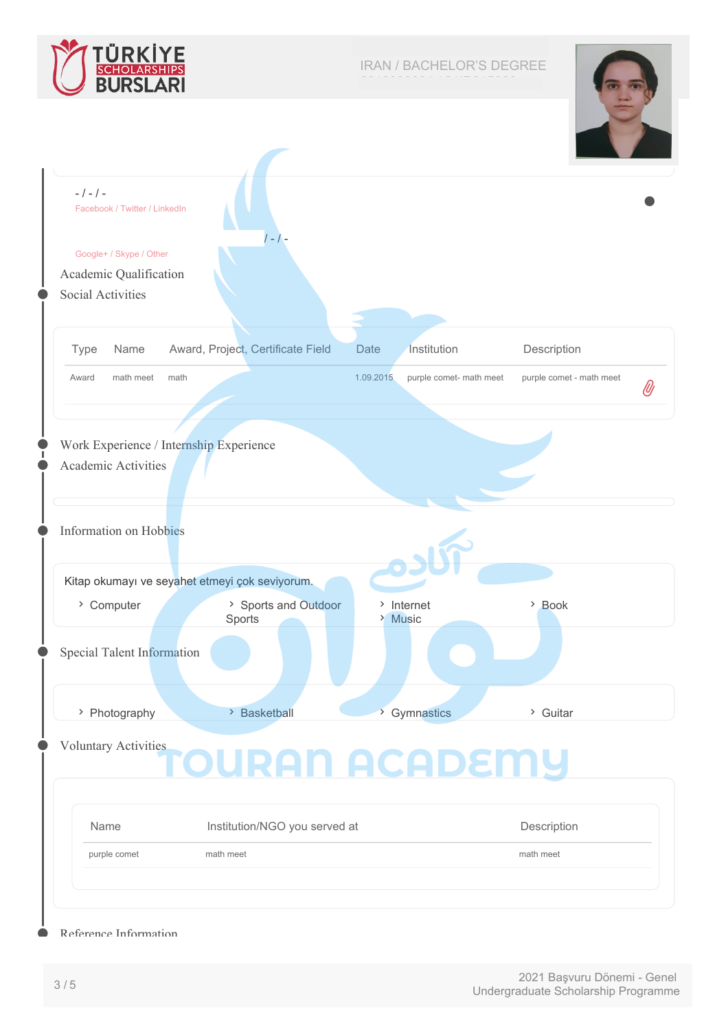



| $-$ / $-$ / $-$<br>Facebook / Twitter / LinkedIn                              | $/ - / -$                                      |                                      |                          |
|-------------------------------------------------------------------------------|------------------------------------------------|--------------------------------------|--------------------------|
| Google+ / Skype / Other<br>Academic Qualification<br><b>Social Activities</b> |                                                |                                      |                          |
| <b>Type</b><br>Name                                                           | Award, Project, Certificate Field              | Institution<br>Date                  | Description              |
| Award<br>math meet                                                            | math                                           | 1.09.2015<br>purple comet- math meet | purple comet - math meet |
| Academic Activities                                                           |                                                |                                      |                          |
| Information on Hobbies                                                        |                                                |                                      |                          |
|                                                                               | Kitap okumayı ve seyahet etmeyi çok seviyorum. |                                      |                          |
| > Computer                                                                    | > Sports and Outdoor<br>Sports                 | > Internet<br>> Music                | > Book                   |
|                                                                               |                                                |                                      |                          |
| <b>Special Talent Information</b><br>> Photography                            | > Basketball                                   | > Gymnastics                         | > Guitar                 |
| <b>Voluntary Activities</b>                                                   | <u> rouran academy</u>                         |                                      |                          |
| Name                                                                          | Institution/NGO you served at                  |                                      | Description              |

Reference Information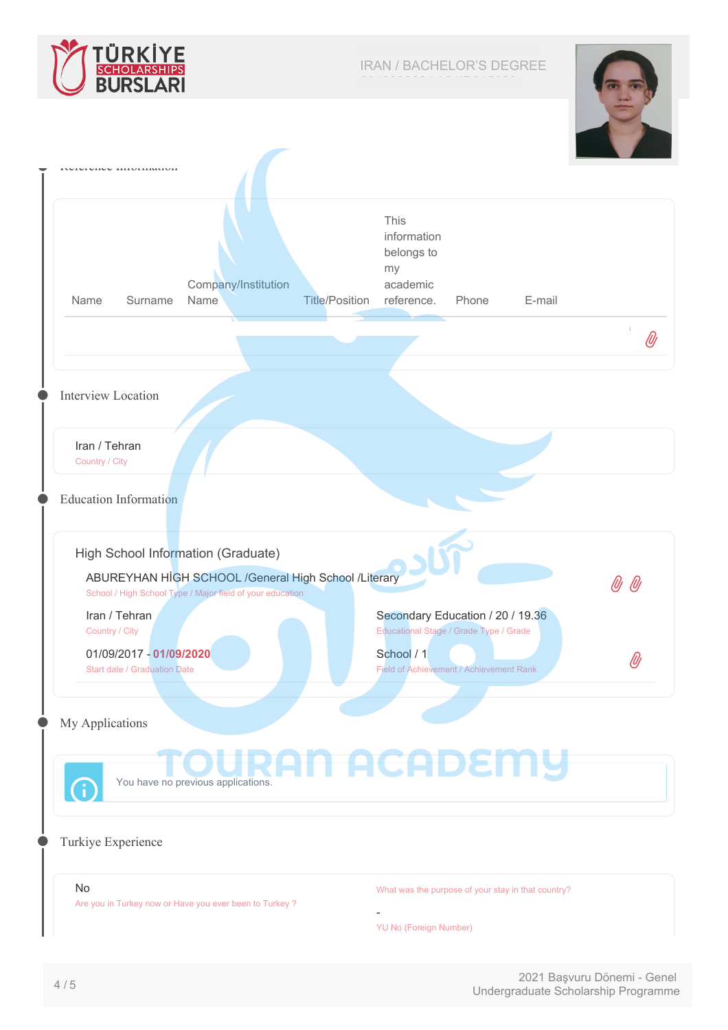



| Company/Institution<br><b>Title/Position</b>                                                    | This<br>information<br>belongs to<br>my<br>academic<br>reference. | Phone                                                | E-mail |                                                                                                                                                                                            |
|-------------------------------------------------------------------------------------------------|-------------------------------------------------------------------|------------------------------------------------------|--------|--------------------------------------------------------------------------------------------------------------------------------------------------------------------------------------------|
|                                                                                                 |                                                                   |                                                      |        |                                                                                                                                                                                            |
|                                                                                                 |                                                                   |                                                      |        | lU)                                                                                                                                                                                        |
|                                                                                                 |                                                                   |                                                      |        |                                                                                                                                                                                            |
|                                                                                                 |                                                                   |                                                      |        |                                                                                                                                                                                            |
|                                                                                                 |                                                                   |                                                      |        |                                                                                                                                                                                            |
| High School Information (Graduate)<br>School / High School Type / Major field of your education |                                                                   |                                                      |        | UI UI                                                                                                                                                                                      |
|                                                                                                 | School / 1                                                        |                                                      |        |                                                                                                                                                                                            |
|                                                                                                 |                                                                   |                                                      |        |                                                                                                                                                                                            |
| You have no previous applications.                                                              |                                                                   |                                                      |        |                                                                                                                                                                                            |
|                                                                                                 |                                                                   |                                                      |        |                                                                                                                                                                                            |
| Are you in Turkey now or Have you ever been to Turkey?                                          |                                                                   |                                                      |        |                                                                                                                                                                                            |
|                                                                                                 |                                                                   | ABUREYHAN HİGH SCHOOL /General High School /Literary |        | Secondary Education / 20 / 19.36<br>Educational Stage / Grade Type / Grade<br>Field of Achievement / Achievement Rank<br>RAN ACADEMY<br>What was the purpose of your stay in that country? |